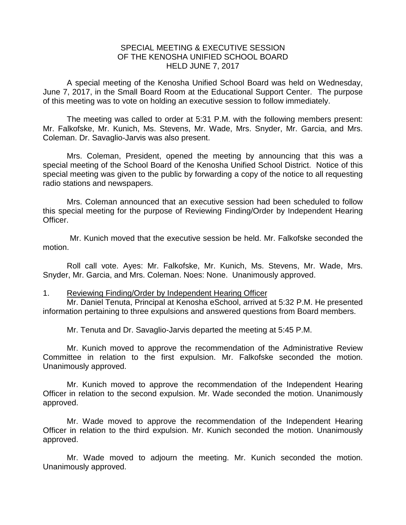## SPECIAL MEETING & EXECUTIVE SESSION OF THE KENOSHA UNIFIED SCHOOL BOARD HELD JUNE 7, 2017

A special meeting of the Kenosha Unified School Board was held on Wednesday, June 7, 2017, in the Small Board Room at the Educational Support Center. The purpose of this meeting was to vote on holding an executive session to follow immediately.

The meeting was called to order at 5:31 P.M. with the following members present: Mr. Falkofske, Mr. Kunich, Ms. Stevens, Mr. Wade, Mrs. Snyder, Mr. Garcia, and Mrs. Coleman. Dr. Savaglio-Jarvis was also present.

Mrs. Coleman, President, opened the meeting by announcing that this was a special meeting of the School Board of the Kenosha Unified School District. Notice of this special meeting was given to the public by forwarding a copy of the notice to all requesting radio stations and newspapers.

Mrs. Coleman announced that an executive session had been scheduled to follow this special meeting for the purpose of Reviewing Finding/Order by Independent Hearing Officer.

Mr. Kunich moved that the executive session be held. Mr. Falkofske seconded the motion.

Roll call vote. Ayes: Mr. Falkofske, Mr. Kunich, Ms. Stevens, Mr. Wade, Mrs. Snyder, Mr. Garcia, and Mrs. Coleman. Noes: None. Unanimously approved.

## 1. Reviewing Finding/Order by Independent Hearing Officer

Mr. Daniel Tenuta, Principal at Kenosha eSchool, arrived at 5:32 P.M. He presented information pertaining to three expulsions and answered questions from Board members.

Mr. Tenuta and Dr. Savaglio-Jarvis departed the meeting at 5:45 P.M.

Mr. Kunich moved to approve the recommendation of the Administrative Review Committee in relation to the first expulsion. Mr. Falkofske seconded the motion. Unanimously approved.

Mr. Kunich moved to approve the recommendation of the Independent Hearing Officer in relation to the second expulsion. Mr. Wade seconded the motion. Unanimously approved.

Mr. Wade moved to approve the recommendation of the Independent Hearing Officer in relation to the third expulsion. Mr. Kunich seconded the motion. Unanimously approved.

Mr. Wade moved to adjourn the meeting. Mr. Kunich seconded the motion. Unanimously approved.